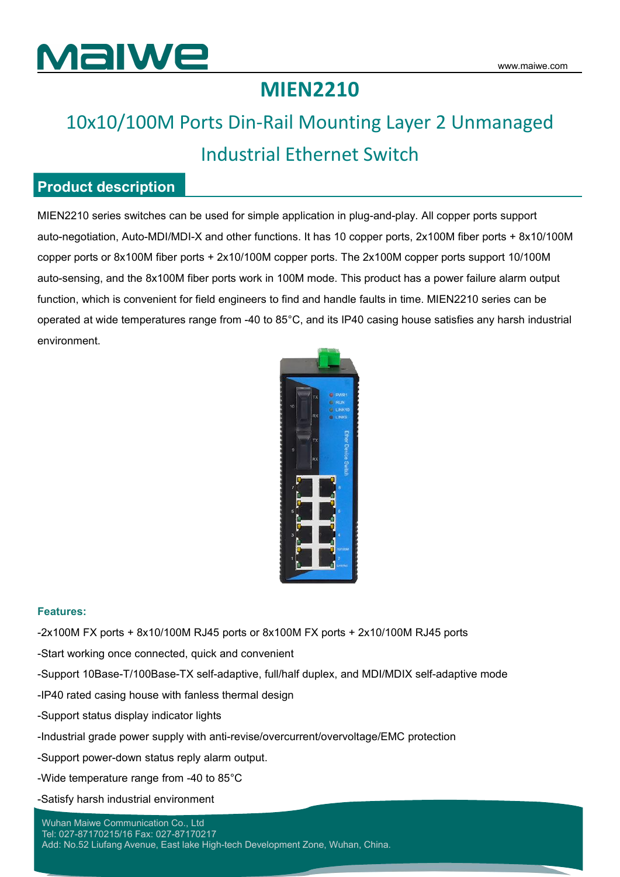

### **MIEN2210**

### 10x10/100M Ports Din-Rail Mounting Layer 2 Unmanaged Industrial Ethernet Switch

### **Product description**

MIEN2210 series switches can be used for simple application in plug-and-play. All copper ports support auto-negotiation, Auto-MDI/MDI-X and other functions. It has 10 copper ports, 2x100M fiber ports + 8x10/100M copper ports or 8x100M fiber ports + 2x10/100M copper ports. The 2x100M copper ports support 10/100M auto-sensing, and the 8x100M fiber ports work in 100M mode. This product has a power failure alarm output function, which is convenient for field engineers to find and handle faults in time. MIEN2210 series can be operated at wide temperatures range from -40 to 85°C, and its IP40 casing house satisfies any harsh industrial environment.



#### **Features:**

- -2x100M FX ports + 8x10/100M RJ45 ports or 8x100M FX ports + 2x10/100M RJ45 ports
- -Start working once connected, quick and convenient
- -Support 10Base-T/100Base-TX self-adaptive, full/half duplex, and MDI/MDIX self-adaptive mode
- -IP40 rated casing house with fanless thermal design
- -Support status display indicator lights
- -Industrial grade power supply with anti-revise/overcurrent/overvoltage/EMC protection
- -Support power-down status reply alarm output.
- -Wide temperature range from -40 to 85°C
- -Satisfy harsh industrial environment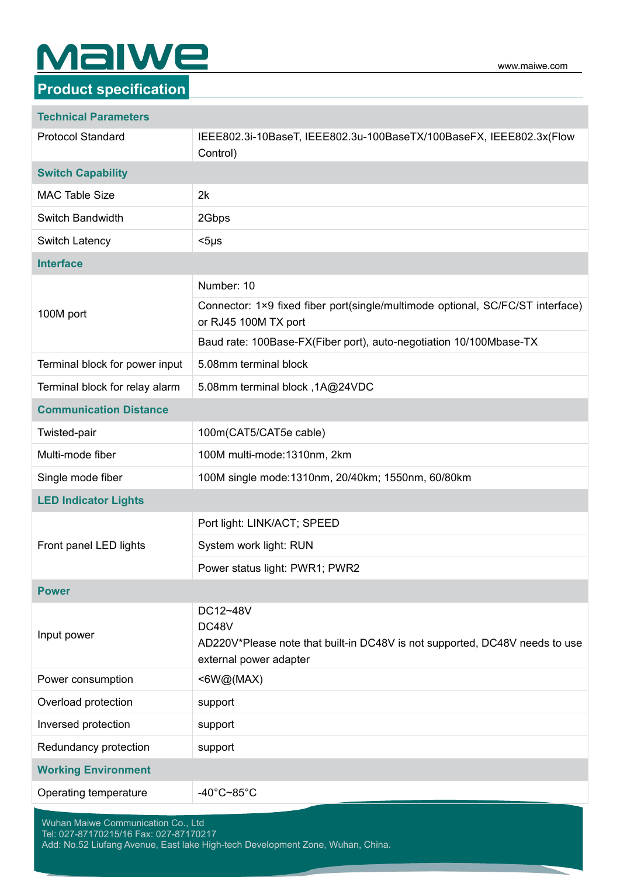# **Malwe**

### **Product specification**

#### **Technical Parameters**

| <b>Protocol Standard</b>       | IEEE802.3i-10BaseT, IEEE802.3u-100BaseTX/100BaseFX, IEEE802.3x(Flow<br>Control)                                            |
|--------------------------------|----------------------------------------------------------------------------------------------------------------------------|
| <b>Switch Capability</b>       |                                                                                                                            |
| <b>MAC Table Size</b>          | 2k                                                                                                                         |
| Switch Bandwidth               | 2Gbps                                                                                                                      |
| Switch Latency                 | $<$ 5µs                                                                                                                    |
| <b>Interface</b>               |                                                                                                                            |
| 100M port                      | Number: 10                                                                                                                 |
|                                | Connector: 1×9 fixed fiber port(single/multimode optional, SC/FC/ST interface)<br>or RJ45 100M TX port                     |
|                                | Baud rate: 100Base-FX(Fiber port), auto-negotiation 10/100Mbase-TX                                                         |
| Terminal block for power input | 5.08mm terminal block                                                                                                      |
| Terminal block for relay alarm | 5.08mm terminal block, 1A@24VDC                                                                                            |
| <b>Communication Distance</b>  |                                                                                                                            |
| Twisted-pair                   | 100m(CAT5/CAT5e cable)                                                                                                     |
| Multi-mode fiber               | 100M multi-mode:1310nm, 2km                                                                                                |
| Single mode fiber              | 100M single mode: 1310nm, 20/40km; 1550nm, 60/80km                                                                         |
| <b>LED Indicator Lights</b>    |                                                                                                                            |
|                                | Port light: LINK/ACT; SPEED                                                                                                |
| Front panel LED lights         | System work light: RUN                                                                                                     |
|                                | Power status light: PWR1; PWR2                                                                                             |
| <b>Power</b>                   |                                                                                                                            |
| Input power                    | DC12~48V<br>DC48V<br>AD220V*Please note that built-in DC48V is not supported, DC48V needs to use<br>external power adapter |
| Power consumption              | $\leq 6W@$ (MAX)                                                                                                           |
| Overload protection            | support                                                                                                                    |
| Inversed protection            | support                                                                                                                    |
| Redundancy protection          | support                                                                                                                    |
| <b>Working Environment</b>     |                                                                                                                            |
| Operating temperature          | -40°C~85°C                                                                                                                 |
|                                |                                                                                                                            |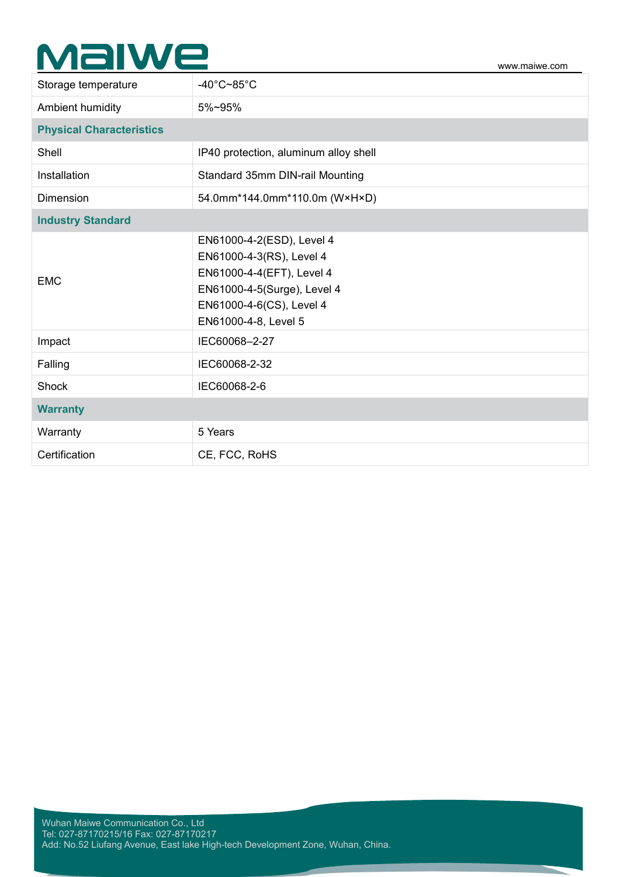## **Malwe**

| Storage temperature             | -40 $^{\circ}$ C~85 $^{\circ}$ C                                                                                                                                      |
|---------------------------------|-----------------------------------------------------------------------------------------------------------------------------------------------------------------------|
| Ambient humidity                | 5%~95%                                                                                                                                                                |
| <b>Physical Characteristics</b> |                                                                                                                                                                       |
| Shell                           | IP40 protection, aluminum alloy shell                                                                                                                                 |
| Installation                    | Standard 35mm DIN-rail Mounting                                                                                                                                       |
| Dimension                       | 54.0mm*144.0mm*110.0m (W×H×D)                                                                                                                                         |
| <b>Industry Standard</b>        |                                                                                                                                                                       |
| <b>EMC</b>                      | EN61000-4-2(ESD), Level 4<br>EN61000-4-3(RS), Level 4<br>EN61000-4-4(EFT), Level 4<br>EN61000-4-5(Surge), Level 4<br>EN61000-4-6(CS), Level 4<br>EN61000-4-8, Level 5 |
| Impact                          | IEC60068-2-27                                                                                                                                                         |
| Falling                         | IEC60068-2-32                                                                                                                                                         |
| Shock                           | IEC60068-2-6                                                                                                                                                          |
| <b>Warranty</b>                 |                                                                                                                                                                       |
| Warranty                        | 5 Years                                                                                                                                                               |
| Certification                   | CE, FCC, RoHS                                                                                                                                                         |

www.maiwe.com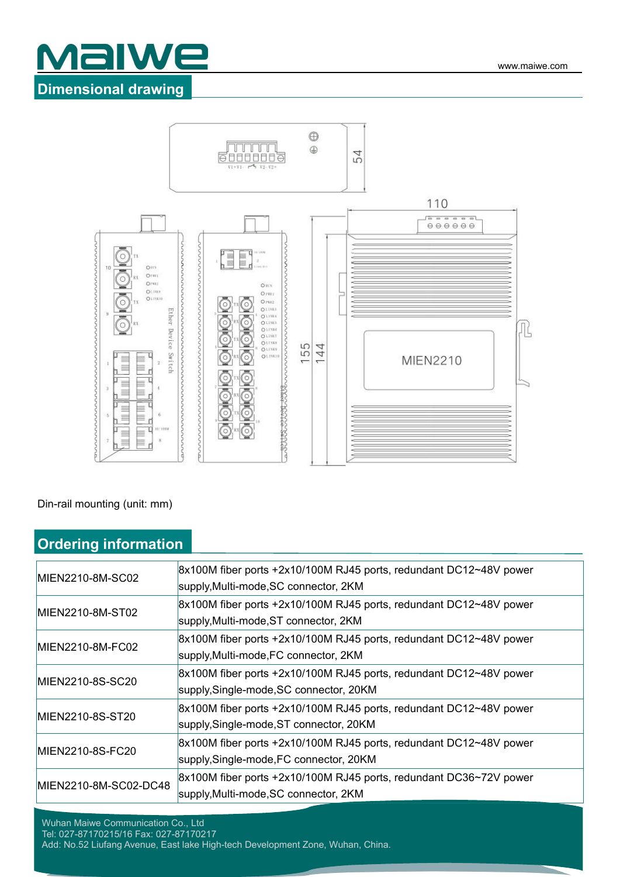



#### Din-rail mounting (unit: mm)

|--|

| MIEN2210-8M-SC02      | 8x100M fiber ports +2x10/100M RJ45 ports, redundant DC12~48V power |
|-----------------------|--------------------------------------------------------------------|
|                       | supply, Multi-mode, SC connector, 2KM                              |
| MIEN2210-8M-ST02      | 8x100M fiber ports +2x10/100M RJ45 ports, redundant DC12~48V power |
|                       | supply, Multi-mode, ST connector, 2KM                              |
| MIEN2210-8M-FC02      | 8x100M fiber ports +2x10/100M RJ45 ports, redundant DC12~48V power |
|                       | supply, Multi-mode, FC connector, 2KM                              |
| MIEN2210-8S-SC20      | 8x100M fiber ports +2x10/100M RJ45 ports, redundant DC12~48V power |
|                       | supply, Single-mode, SC connector, 20KM                            |
| MIEN2210-8S-ST20      | 8x100M fiber ports +2x10/100M RJ45 ports, redundant DC12~48V power |
|                       | supply, Single-mode, ST connector, 20KM                            |
| MIEN2210-8S-FC20      | 8x100M fiber ports +2x10/100M RJ45 ports, redundant DC12~48V power |
|                       | supply, Single-mode, FC connector, 20KM                            |
| MIEN2210-8M-SC02-DC48 | 8x100M fiber ports +2x10/100M RJ45 ports, redundant DC36~72V power |
|                       | supply, Multi-mode, SC connector, 2KM                              |

Wuhan Maiwe Communication Co., Ltd Tel: 027-87170215/16 Fax: 027-87170217 Add: No.52 Liufang Avenue, East lake High-tech Development Zone, Wuhan, China.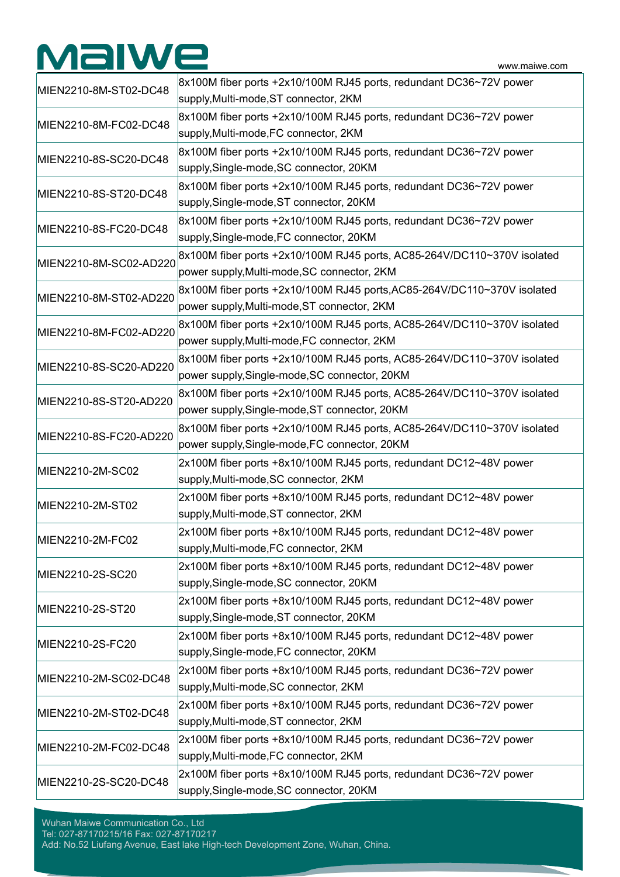# **Malwe**

| MIEN2210-8M-ST02-DC48  | 8x100M fiber ports +2x10/100M RJ45 ports, redundant DC36~72V power<br>supply, Multi-mode, ST connector, 2KM              |
|------------------------|--------------------------------------------------------------------------------------------------------------------------|
| MIEN2210-8M-FC02-DC48  | 8x100M fiber ports +2x10/100M RJ45 ports, redundant DC36~72V power<br>supply, Multi-mode, FC connector, 2KM              |
| MIEN2210-8S-SC20-DC48  | 8x100M fiber ports +2x10/100M RJ45 ports, redundant DC36~72V power<br>supply, Single-mode, SC connector, 20KM            |
| MIEN2210-8S-ST20-DC48  | 8x100M fiber ports +2x10/100M RJ45 ports, redundant DC36~72V power<br>supply, Single-mode, ST connector, 20KM            |
| MIEN2210-8S-FC20-DC48  | 8x100M fiber ports +2x10/100M RJ45 ports, redundant DC36~72V power<br>supply, Single-mode, FC connector, 20KM            |
| MIEN2210-8M-SC02-AD220 | 8x100M fiber ports +2x10/100M RJ45 ports, AC85-264V/DC110~370V isolated<br>power supply, Multi-mode, SC connector, 2KM   |
| MIEN2210-8M-ST02-AD220 | 8x100M fiber ports +2x10/100M RJ45 ports, AC85-264V/DC110~370V isolated<br>power supply, Multi-mode, ST connector, 2KM   |
| MIEN2210-8M-FC02-AD220 | 8x100M fiber ports +2x10/100M RJ45 ports, AC85-264V/DC110~370V isolated<br>power supply, Multi-mode, FC connector, 2KM   |
| MIEN2210-8S-SC20-AD220 | 8x100M fiber ports +2x10/100M RJ45 ports, AC85-264V/DC110~370V isolated<br>power supply, Single-mode, SC connector, 20KM |
| MIEN2210-8S-ST20-AD220 | 8x100M fiber ports +2x10/100M RJ45 ports, AC85-264V/DC110~370V isolated<br>power supply, Single-mode, ST connector, 20KM |
| MIEN2210-8S-FC20-AD220 | 8x100M fiber ports +2x10/100M RJ45 ports, AC85-264V/DC110~370V isolated<br>power supply, Single-mode, FC connector, 20KM |
| MIEN2210-2M-SC02       | 2x100M fiber ports +8x10/100M RJ45 ports, redundant DC12~48V power<br>supply, Multi-mode, SC connector, 2KM              |
| MIEN2210-2M-ST02       | 2x100M fiber ports +8x10/100M RJ45 ports, redundant DC12~48V power<br>supply, Multi-mode, ST connector, 2KM              |
| MIEN2210-2M-FC02       | 2x100M fiber ports +8x10/100M RJ45 ports, redundant DC12~48V power<br>supply, Multi-mode, FC connector, 2KM              |
| MIEN2210-2S-SC20       | 2x100M fiber ports +8x10/100M RJ45 ports, redundant DC12~48V power<br>supply, Single-mode, SC connector, 20KM            |
| MIEN2210-2S-ST20       | 2x100M fiber ports +8x10/100M RJ45 ports, redundant DC12~48V power<br>supply, Single-mode, ST connector, 20KM            |
| MIEN2210-2S-FC20       | 2x100M fiber ports +8x10/100M RJ45 ports, redundant DC12~48V power<br>supply, Single-mode, FC connector, 20KM            |
| MIEN2210-2M-SC02-DC48  | 2x100M fiber ports +8x10/100M RJ45 ports, redundant DC36~72V power<br>supply, Multi-mode, SC connector, 2KM              |
| MIEN2210-2M-ST02-DC48  | 2x100M fiber ports +8x10/100M RJ45 ports, redundant DC36~72V power<br>supply, Multi-mode, ST connector, 2KM              |
| MIEN2210-2M-FC02-DC48  | 2x100M fiber ports +8x10/100M RJ45 ports, redundant DC36~72V power<br>supply, Multi-mode, FC connector, 2KM              |
| MIEN2210-2S-SC20-DC48  | 2x100M fiber ports +8x10/100M RJ45 ports, redundant DC36~72V power<br>supply, Single-mode, SC connector, 20KM            |